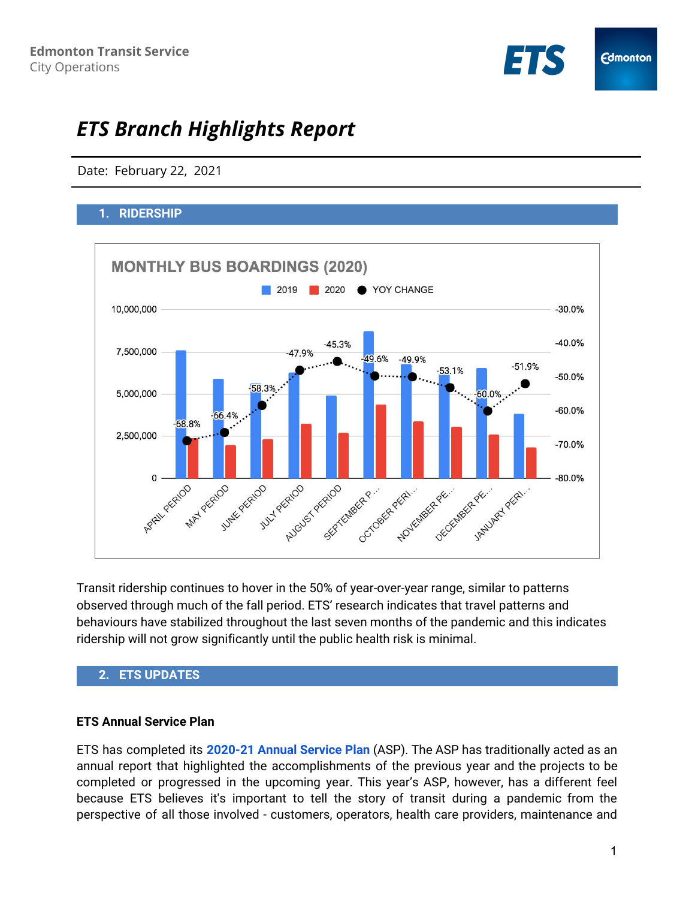

# *ETS Branch Highlights Report*

Date: February 22, 2021

# **1. RIDERSHIP**



Transit ridership continues to hover in the 50% of year-over-year range, similar to patterns observed through much of the fall period. ETS' research indicates that travel patterns and behaviours have stabilized throughout the last seven months of the pandemic and this indicates ridership will not grow significantly until the public health risk is minimal.

## **2. ETS UPDATES**

#### **ETS Annual Service Plan**

ETS has completed its **[2020-21](https://drive.google.com/file/d/1Pa2V3DKLmm4GUJqGoyQxFS6Mlc3_oy9h/view) Annual Service Plan** (ASP). The ASP has traditionally acted as an annual report that highlighted the accomplishments of the previous year and the projects to be completed or progressed in the upcoming year. This year's ASP, however, has a different feel because ETS believes it's important to tell the story of transit during a pandemic from the perspective of all those involved - customers, operators, health care providers, maintenance and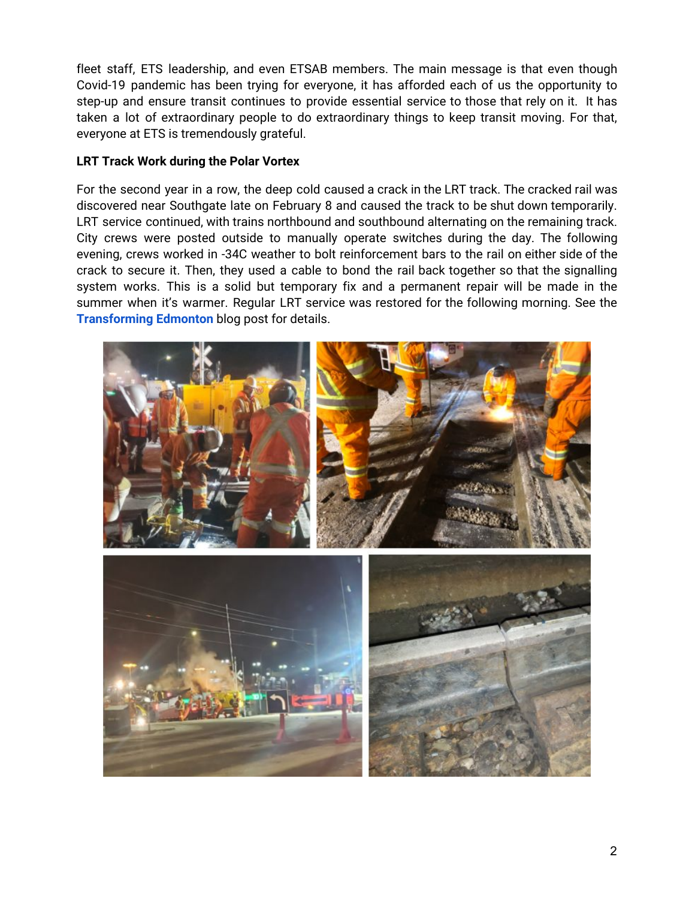fleet staff, ETS leadership, and even ETSAB members. The main message is that even though Covid-19 pandemic has been trying for everyone, it has afforded each of us the opportunity to step-up and ensure transit continues to provide essential service to those that rely on it. It has taken a lot of extraordinary people to do extraordinary things to keep transit moving. For that, everyone at ETS is tremendously grateful.

## **LRT Track Work during the Polar Vortex**

For the second year in a row, the deep cold caused a crack in the LRT track. The cracked rail was discovered near Southgate late on February 8 and caused the track to be shut down temporarily. LRT service continued, with trains northbound and southbound alternating on the remaining track. City crews were posted outside to manually operate switches during the day. The following evening, crews worked in -34C weather to bolt reinforcement bars to the rail on either side of the crack to secure it. Then, they used a cable to bond the rail back together so that the signalling system works. This is a solid but temporary fix and a permanent repair will be made in the summer when it's warmer. Regular LRT service was restored for the following morning. See the **[Transforming](https://transforming.edmonton.ca/polar-vortex-34-edmonton-track-crew-1/) Edmonton** blog post for details.

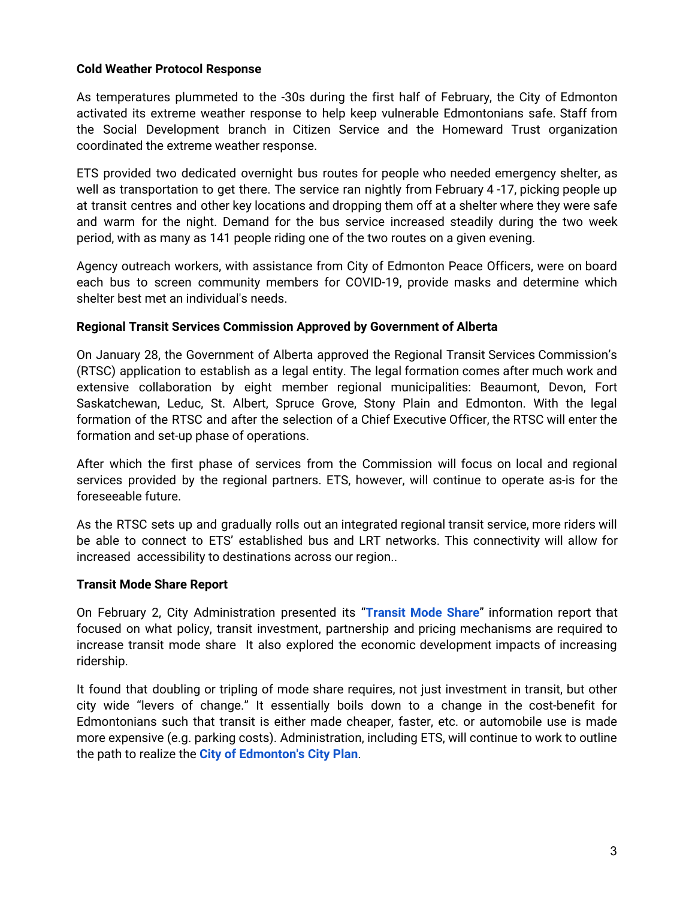## **Cold Weather Protocol Response**

As temperatures plummeted to the -30s during the first half of February, the City of Edmonton activated its extreme weather response to help keep vulnerable Edmontonians safe. Staff from the Social Development branch in Citizen Service and the Homeward Trust organization coordinated the extreme weather response.

ETS provided two dedicated overnight bus routes for people who needed emergency shelter, as well as transportation to get there. The service ran nightly from February 4 -17, picking people up at transit centres and other key locations and dropping them off at a shelter where they were safe and warm for the night. Demand for the bus service increased steadily during the two week period, with as many as 141 people riding one of the two routes on a given evening.

Agency outreach workers, with assistance from City of Edmonton Peace Officers, were on board each bus to screen community members for COVID-19, provide masks and determine which shelter best met an individual's needs.

#### **Regional Transit Services Commission Approved by Government of Alberta**

On January 28, the Government of Alberta approved the Regional Transit Services Commission's (RTSC) application to establish as a legal entity. The legal formation comes after much work and extensive collaboration by eight member regional municipalities: Beaumont, Devon, Fort Saskatchewan, Leduc, St. Albert, Spruce Grove, Stony Plain and Edmonton. With the legal formation of the RTSC and after the selection of a Chief Executive Officer, the RTSC will enter the formation and set-up phase of operations.

After which the first phase of services from the Commission will focus on local and regional services provided by the regional partners. ETS, however, will continue to operate as-is for the foreseeable future.

As the RTSC sets up and gradually rolls out an integrated regional transit service, more riders will be able to connect to ETS' established bus and LRT networks. This connectivity will allow for increased accessibility to destinations across our region..

#### **Transit Mode Share Report**

On February 2, City Administration presented its "**[Transit](https://pub-edmonton.escribemeetings.com/filestream.ashx?DocumentId=78597) Mode Share**" information report that focused on what policy, transit investment, partnership and pricing mechanisms are required to increase transit mode share It also explored the economic development impacts of increasing ridership.

It found that doubling or tripling of mode share requires, not just investment in transit, but other city wide "levers of change." It essentially boils down to a change in the cost-benefit for Edmontonians such that transit is either made cheaper, faster, etc. or automobile use is made more expensive (e.g. parking costs). Administration, including ETS, will continue to work to outline the path to realize the **City of [Edmonton's](https://www.edmonton.ca/city_government/city_vision_and_strategic_plan/city-plan.aspx) City Plan**.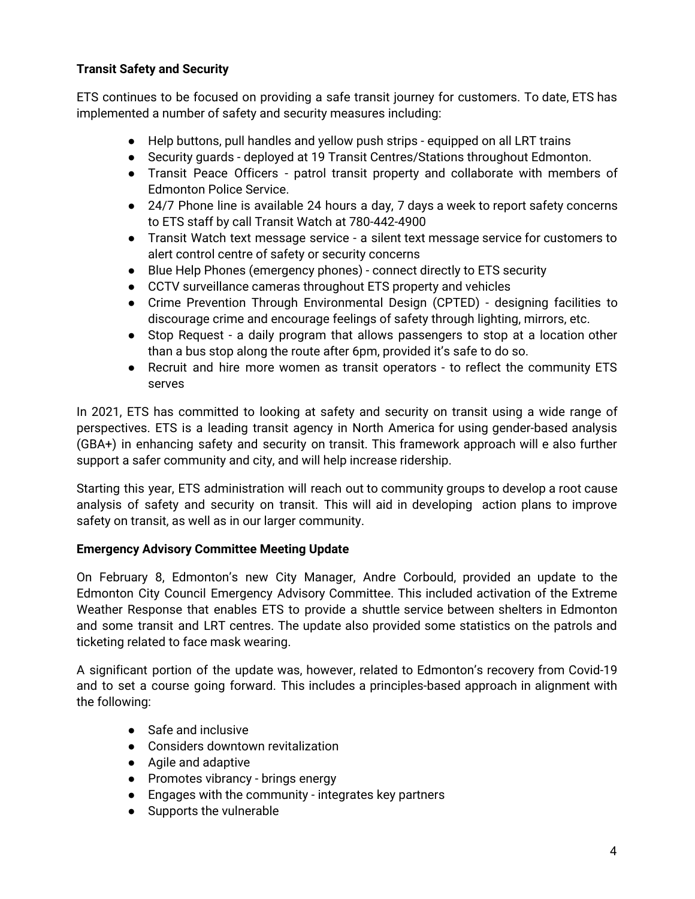## **Transit Safety and Security**

ETS continues to be focused on providing a safe transit journey for customers. To date, ETS has implemented a number of safety and security measures including:

- Help buttons, pull handles and yellow push strips equipped on all LRT trains
- Security guards deployed at 19 Transit Centres/Stations throughout Edmonton.
- Transit Peace Officers patrol transit property and collaborate with members of Edmonton Police Service.
- 24/7 Phone line is available 24 hours a day, 7 days a week to report safety concerns to ETS staff by call Transit Watch at 780-442-4900
- Transit Watch text message service a silent text message service for customers to alert control centre of safety or security concerns
- Blue Help Phones (emergency phones) connect directly to ETS security
- CCTV surveillance cameras throughout ETS property and vehicles
- Crime Prevention Through Environmental Design (CPTED) designing facilities to discourage crime and encourage feelings of safety through lighting, mirrors, etc.
- Stop Request a daily program that allows passengers to stop at a location other than a bus stop along the route after 6pm, provided it's safe to do so.
- Recruit and hire more women as transit operators to reflect the community ETS serves

In 2021, ETS has committed to looking at safety and security on transit using a wide range of perspectives. ETS is a leading transit agency in North America for using gender-based analysis (GBA+) in enhancing safety and security on transit. This framework approach will e also further support a safer community and city, and will help increase ridership.

Starting this year, ETS administration will reach out to community groups to develop a root cause analysis of safety and security on transit. This will aid in developing action plans to improve safety on transit, as well as in our larger community.

## **Emergency Advisory Committee Meeting Update**

On February 8, Edmonton's new City Manager, Andre Corbould, provided an update to the Edmonton City Council Emergency Advisory Committee. This included activation of the Extreme Weather Response that enables ETS to provide a shuttle service between shelters in Edmonton and some transit and LRT centres. The update also provided some statistics on the patrols and ticketing related to face mask wearing.

A significant portion of the update was, however, related to Edmonton's recovery from Covid-19 and to set a course going forward. This includes a principles-based approach in alignment with the following:

- Safe and inclusive
- Considers downtown revitalization
- Agile and adaptive
- Promotes vibrancy brings energy
- Engages with the community integrates key partners
- Supports the vulnerable